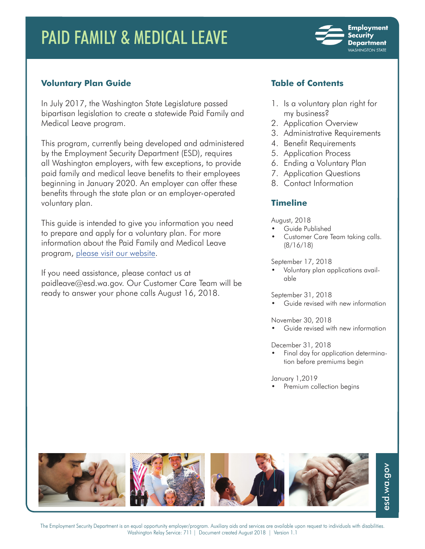# PAID FAMILY & MEDICAL LEAVE



# **Voluntary Plan Guide**

In July 2017, the Washington State Legislature passed bipartisan legislation to create a statewide Paid Family and Medical Leave program.

This program, currently being developed and administered by the Employment Security Department (ESD), requires all Washington employers, with few exceptions, to provide paid family and medical leave benefits to their employees beginning in January 2020. An employer can offer these benefits through the state plan or an employer-operated voluntary plan.

This guide is intended to give you information you need to prepare and apply for a voluntary plan. For more information about the Paid Family and Medical Leave program, please visit our website.

If you need assistance, please contact us at paidleave@esd.wa.gov. Our Customer Care Team will be ready to answer your phone calls August 16, 2018.

# **Table of Contents**

- 1. Is a voluntary plan right for my business?
- 2. Application Overview
- 3. Administrative Requirements
- 4. Benefit Requirements
- 5. Application Process
- 6. Ending a Voluntary Plan
- 7. Application Questions
- 8. Contact Information

# **Timeline**

#### August, 2018

- Guide Published
- Customer Care Team taking calls. (8/16/18)

#### September 17, 2018

• Voluntary plan applications available

September 31, 2018

• Guide revised with new information

November 30, 2018

• Guide revised with new information

December 31, 2018

• Final day for application determination before premiums begin

January 1,2019

Premium collection begins



The Employment Security Department is an equal opportunity employer/program. Auxiliary aids and services are available upon request to individuals with disabilities. Washington Relay Service: 711 | Document created August 2018 | Version 1.1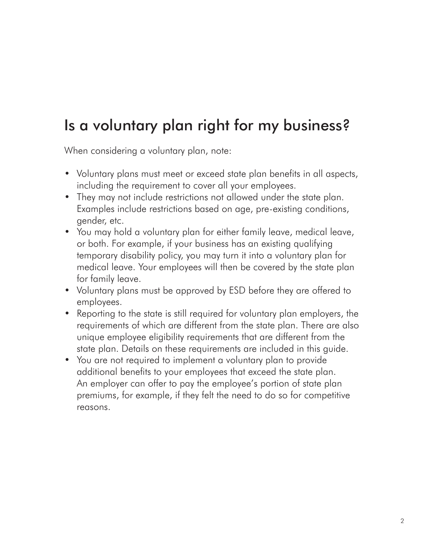# Is a voluntary plan right for my business?

When considering a voluntary plan, note:

- Voluntary plans must meet or exceed state plan benefits in all aspects, including the requirement to cover all your employees.
- They may not include restrictions not allowed under the state plan. Examples include restrictions based on age, pre-existing conditions, gender, etc.
- You may hold a voluntary plan for either family leave, medical leave, or both. For example, if your business has an existing qualifying temporary disability policy, you may turn it into a voluntary plan for medical leave. Your employees will then be covered by the state plan for family leave.
- Voluntary plans must be approved by ESD before they are offered to employees.
- Reporting to the state is still required for voluntary plan employers, the requirements of which are different from the state plan. There are also unique employee eligibility requirements that are different from the state plan. Details on these requirements are included in this guide.
- You are not required to implement a voluntary plan to provide additional benefits to your employees that exceed the state plan. An employer can offer to pay the employee's portion of state plan premiums, for example, if they felt the need to do so for competitive reasons.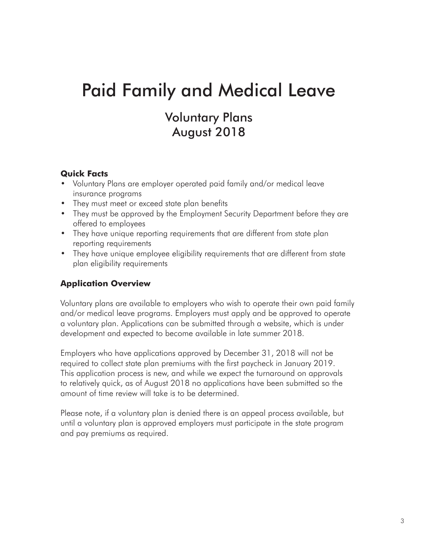# Paid Family and Medical Leave

# Voluntary Plans August 2018

# **Quick Facts**

- Voluntary Plans are employer operated paid family and/or medical leave insurance programs
- They must meet or exceed state plan benefits
- They must be approved by the Employment Security Department before they are offered to employees
- They have unique reporting requirements that are different from state plan reporting requirements
- They have unique employee eligibility requirements that are different from state plan eligibility requirements

# **Application Overview**

Voluntary plans are available to employers who wish to operate their own paid family and/or medical leave programs. Employers must apply and be approved to operate a voluntary plan. Applications can be submitted through a website, which is under development and expected to become available in late summer 2018.

Employers who have applications approved by December 31, 2018 will not be required to collect state plan premiums with the first paycheck in January 2019. This application process is new, and while we expect the turnaround on approvals to relatively quick, as of August 2018 no applications have been submitted so the amount of time review will take is to be determined.

Please note, if a voluntary plan is denied there is an appeal process available, but until a voluntary plan is approved employers must participate in the state program and pay premiums as required.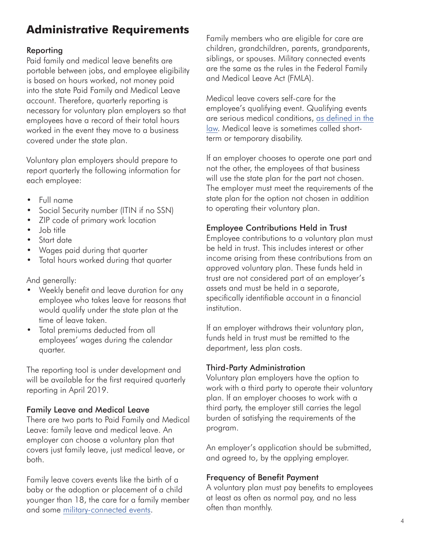# **Administrative Requirements**

# Reporting

Paid family and medical leave benefits are portable between jobs, and employee eligibility is based on hours worked, not money paid into the state Paid Family and Medical Leave account. Therefore, quarterly reporting is necessary for voluntary plan employers so that employees have a record of their total hours worked in the event they move to a business covered under the state plan.

Voluntary plan employers should prepare to report quarterly the following information for each employee:

- Full name
- Social Security number (ITIN if no SSN)
- ZIP code of primary work location
- Job title
- Start date
- Wages paid during that quarter
- Total hours worked during that quarter

And generally:

- Weekly benefit and leave duration for any employee who takes leave for reasons that would qualify under the state plan at the time of leave taken.
- Total premiums deducted from all employees' wages during the calendar quarter.

The reporting tool is under development and will be available for the first required quarterly reporting in April 2019.

# Family Leave and Medical Leave

There are two parts to Paid Family and Medical Leave: family leave and medical leave. An employer can choose a voluntary plan that covers just family leave, just medical leave, or both.

Family leave covers events like the birth of a baby or the adoption or placement of a child younger than 18, the care for a family member and some military-connected events.

Family members who are eligible for care are children, grandchildren, parents, grandparents, siblings, or spouses. Military connected events are the same as the rules in the Federal Family and Medical Leave Act (FMLA).

Medical leave covers self-care for the employee's qualifying event. Qualifying events are serious medical conditions, as defined in the law. Medical leave is sometimes called shortterm or temporary disability.

If an employer chooses to operate one part and not the other, the employees of that business will use the state plan for the part not chosen. The employer must meet the requirements of the state plan for the option not chosen in addition to operating their voluntary plan.

# Employee Contributions Held in Trust

Employee contributions to a voluntary plan must be held in trust. This includes interest or other income arising from these contributions from an approved voluntary plan. These funds held in trust are not considered part of an employer's assets and must be held in a separate, specifically identifiable account in a financial institution.

If an employer withdraws their voluntary plan, funds held in trust must be remitted to the department, less plan costs.

# Third-Party Administration

Voluntary plan employers have the option to work with a third party to operate their voluntary plan. If an employer chooses to work with a third party, the employer still carries the legal burden of satisfying the requirements of the program.

An employer's application should be submitted, and agreed to, by the applying employer.

# Frequency of Benefit Payment

A voluntary plan must pay benefits to employees at least as often as normal pay, and no less often than monthly.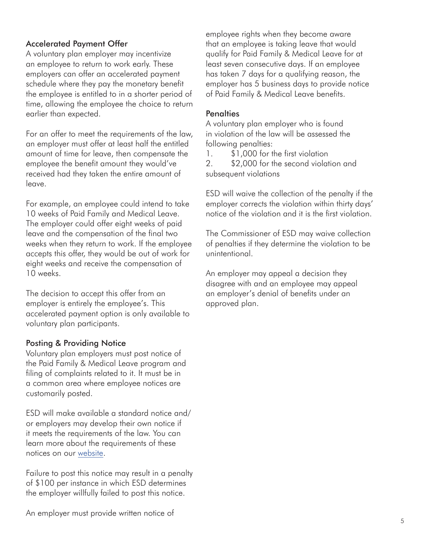## Accelerated Payment Offer

A voluntary plan employer may incentivize an employee to return to work early. These employers can offer an accelerated payment schedule where they pay the monetary benefit the employee is entitled to in a shorter period of time, allowing the employee the choice to return earlier than expected.

For an offer to meet the requirements of the law, an employer must offer at least half the entitled amount of time for leave, then compensate the employee the benefit amount they would've received had they taken the entire amount of leave.

For example, an employee could intend to take 10 weeks of Paid Family and Medical Leave. The employer could offer eight weeks of paid leave and the compensation of the final two weeks when they return to work. If the employee accepts this offer, they would be out of work for eight weeks and receive the compensation of 10 weeks.

The decision to accept this offer from an employer is entirely the employee's. This accelerated payment option is only available to voluntary plan participants.

#### Posting & Providing Notice

Voluntary plan employers must post notice of the Paid Family & Medical Leave program and filing of complaints related to it. It must be in a common area where employee notices are customarily posted.

ESD will make available a standard notice and/ or employers may develop their own notice if it meets the requirements of the law. You can learn more about the requirements of these notices on our website.

Failure to post this notice may result in a penalty of \$100 per instance in which ESD determines the employer willfully failed to post this notice.

employee rights when they become aware that an employee is taking leave that would qualify for Paid Family & Medical Leave for at least seven consecutive days. If an employee has taken 7 days for a qualifying reason, the employer has 5 business days to provide notice of Paid Family & Medical Leave benefits.

#### **Penalties**

A voluntary plan employer who is found in violation of the law will be assessed the following penalties:

1. \$1,000 for the first violation 2. \$2,000 for the second violation and subsequent violations

ESD will waive the collection of the penalty if the employer corrects the violation within thirty days' notice of the violation and it is the first violation.

The Commissioner of ESD may waive collection of penalties if they determine the violation to be unintentional.

An employer may appeal a decision they disagree with and an employee may appeal an employer's denial of benefits under an approved plan.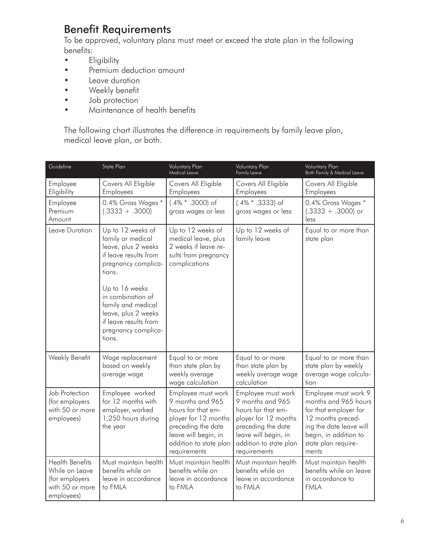# Benefit Requirements

To be approved, voluntary plans must meet or exceed the state plan in the following benefits:

- Eligibility
- Premium deduction amount
- Leave duration
- Weekly benefit
- Job protection
- Maintenance of health benefits

The following chart illustrates the difference in requirements by family leave plan, medical leave plan, or both.

| Guideline                                                                                   | State Plan                                                                                                                                                                                                                                                            | <b>Voluntary Plan</b><br>Medical Leave                                                                                                                                       | Voluntary Plan<br><b>Family Leave</b>                                                                                                                                        | <b>Voluntary Plan</b><br>Both Family & Medical Leave                                                                                                                           |
|---------------------------------------------------------------------------------------------|-----------------------------------------------------------------------------------------------------------------------------------------------------------------------------------------------------------------------------------------------------------------------|------------------------------------------------------------------------------------------------------------------------------------------------------------------------------|------------------------------------------------------------------------------------------------------------------------------------------------------------------------------|--------------------------------------------------------------------------------------------------------------------------------------------------------------------------------|
| Employee<br>Eligibility                                                                     | Covers All Eligible<br>Employees                                                                                                                                                                                                                                      | Covers All Eligible<br>Employees                                                                                                                                             | Covers All Eligible<br>Employees                                                                                                                                             | Covers All Eligible<br>Employees                                                                                                                                               |
| Employee<br>Premium<br>Amount                                                               | 0.4% Gross Wages *<br>$(.3333 + .3000)$                                                                                                                                                                                                                               | (.4% * .3000) of<br>gross wages or less                                                                                                                                      | $(.4\%$ * .3333) of<br>gross wages or less                                                                                                                                   | 0.4% Gross Wages *<br>$(.3333 + .3000)$ or<br>less                                                                                                                             |
| Leave Duration                                                                              | Up to 12 weeks of<br>family or medical<br>leave, plus 2 weeks<br>if leave results from<br>pregnancy complica-<br>tions.<br>Up to 16 weeks<br>in combination of<br>family and medical<br>leave, plus 2 weeks<br>if leave results from<br>pregnancy complica-<br>tions. | Up to 12 weeks of<br>medical leave, plus<br>2 weeks if leave re-<br>sults from pregnancy<br>complications                                                                    | Up to 12 weeks of<br>family leave                                                                                                                                            | Equal to or more than<br>state plan                                                                                                                                            |
| Weekly Benefit                                                                              | Wage replacement<br>based on weekly<br>average wage                                                                                                                                                                                                                   | Equal to or more<br>than state plan by<br>weekly average<br>wage calculation                                                                                                 | Equal to or more<br>than state plan by<br>weekly average wage<br>calculation                                                                                                 | Equal to or more than<br>state plan by weekly<br>average wage calcula-<br>tion                                                                                                 |
| Job Protection<br>(for employers<br>with 50 or more<br>employees)                           | Employee worked<br>for 12 months with<br>employer, worked<br>1,250 hours during<br>the year                                                                                                                                                                           | Employee must work<br>9 months and 965<br>hours for that em-<br>ployer for 12 months<br>preceding the date<br>leave will begin, in<br>addition to state plan<br>requirements | Employee must work<br>9 months and 965<br>hours for that em-<br>ployer for 12 months<br>preceding the date<br>leave will begin, in<br>addition to state plan<br>requirements | Employee must work 9<br>months and 965 hours<br>for that employer for<br>12 months preced-<br>ing the date leave will<br>begin, in addition to<br>state plan require-<br>ments |
| <b>Health Benefits</b><br>While on Leave<br>(for employers<br>with 50 or more<br>employees) | Must maintain health<br>benefits while on<br>leave in accordance<br>to FMLA                                                                                                                                                                                           | Must maintain health<br>benefits while on<br>leave in accordance<br>to FMLA                                                                                                  | Must maintain health<br>benefits while on<br>leave in accordance<br>to FMLA                                                                                                  | Must maintain health<br>benefits while on leave<br>in accordance to<br><b>FMLA</b>                                                                                             |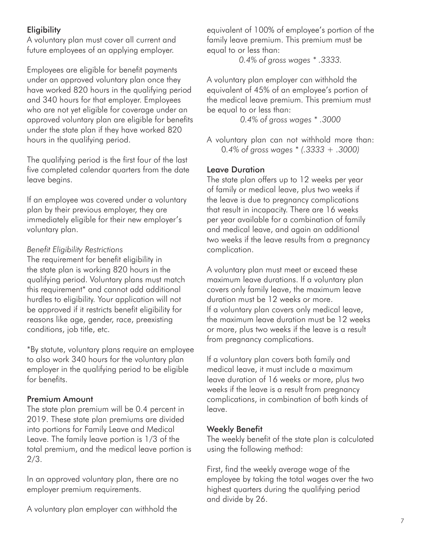# **Eligibility**

A voluntary plan must cover all current and future employees of an applying employer.

Employees are eligible for benefit payments under an approved voluntary plan once they have worked 820 hours in the qualifying period and 340 hours for that employer. Employees who are not yet eligible for coverage under an approved voluntary plan are eligible for benefits under the state plan if they have worked 820 hours in the qualifying period.

The qualifying period is the first four of the last five completed calendar quarters from the date leave begins.

If an employee was covered under a voluntary plan by their previous employer, they are immediately eligible for their new employer's voluntary plan.

# *Benefit Eligibility Restrictions*

The requirement for benefit eligibility in the state plan is working 820 hours in the qualifying period. Voluntary plans must match this requirement\* and cannot add additional hurdles to eligibility. Your application will not be approved if it restricts benefit eligibility for reasons like age, gender, race, preexisting conditions, job title, etc.

\*By statute, voluntary plans require an employee to also work 340 hours for the voluntary plan employer in the qualifying period to be eligible for benefits.

### Premium Amount

The state plan premium will be 0.4 percent in 2019. These state plan premiums are divided into portions for Family Leave and Medical Leave. The family leave portion is 1/3 of the total premium, and the medical leave portion is 2/3.

In an approved voluntary plan, there are no employer premium requirements.

A voluntary plan employer can withhold the

equivalent of 100% of employee's portion of the family leave premium. This premium must be equal to or less than:

*0.4% of gross wages \* .3333.*

A voluntary plan employer can withhold the equivalent of 45% of an employee's portion of the medical leave premium. This premium must be equal to or less than:

*0.4% of gross wages \* .3000*

A voluntary plan can not withhold more than: 0*.4% of gross wages \* (.3333 + .3000)*

## Leave Duration

The state plan offers up to 12 weeks per year of family or medical leave, plus two weeks if the leave is due to pregnancy complications that result in incapacity. There are 16 weeks per year available for a combination of family and medical leave, and again an additional two weeks if the leave results from a pregnancy complication.

A voluntary plan must meet or exceed these maximum leave durations. If a voluntary plan covers only family leave, the maximum leave duration must be 12 weeks or more. If a voluntary plan covers only medical leave, the maximum leave duration must be 12 weeks or more, plus two weeks if the leave is a result from pregnancy complications.

If a voluntary plan covers both family and medical leave, it must include a maximum leave duration of 16 weeks or more, plus two weeks if the leave is a result from pregnancy complications, in combination of both kinds of leave.

### Weekly Benefit

The weekly benefit of the state plan is calculated using the following method:

First, find the weekly average wage of the employee by taking the total wages over the two highest quarters during the qualifying period and divide by 26.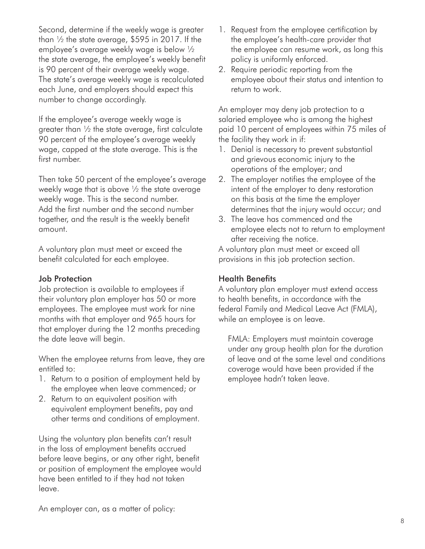Second, determine if the weekly wage is greater than ½ the state average, \$595 in 2017. If the employee's average weekly wage is below ½ the state average, the employee's weekly benefit is 90 percent of their average weekly wage. The state's average weekly wage is recalculated each June, and employers should expect this number to change accordingly.

If the employee's average weekly wage is greater than ½ the state average, first calculate 90 percent of the employee's average weekly wage, capped at the state average. This is the first number.

Then take 50 percent of the employee's average weekly wage that is above ½ the state average weekly wage. This is the second number. Add the first number and the second number together, and the result is the weekly benefit amount.

A voluntary plan must meet or exceed the benefit calculated for each employee.

### Job Protection

Job protection is available to employees if their voluntary plan employer has 50 or more employees. The employee must work for nine months with that employer and 965 hours for that employer during the 12 months preceding the date leave will begin.

When the employee returns from leave, they are entitled to:

- 1. Return to a position of employment held by the employee when leave commenced; or
- 2. Return to an equivalent position with equivalent employment benefits, pay and other terms and conditions of employment.

Using the voluntary plan benefits can't result in the loss of employment benefits accrued before leave begins, or any other right, benefit or position of employment the employee would have been entitled to if they had not taken leave.

- 1. Request from the employee certification by the employee's health-care provider that the employee can resume work, as long this policy is uniformly enforced.
- 2. Require periodic reporting from the employee about their status and intention to return to work.

An employer may deny job protection to a salaried employee who is among the highest paid 10 percent of employees within 75 miles of the facility they work in if:

- 1. Denial is necessary to prevent substantial and grievous economic injury to the operations of the employer; and
- 2. The employer notifies the employee of the intent of the employer to deny restoration on this basis at the time the employer determines that the injury would occur; and
- 3. The leave has commenced and the employee elects not to return to employment after receiving the notice.

A voluntary plan must meet or exceed all provisions in this job protection section.

### Health Benefits

A voluntary plan employer must extend access to health benefits, in accordance with the federal Family and Medical Leave Act (FMLA), while an employee is on leave.

FMLA: Employers must maintain coverage under any group health plan for the duration of leave and at the same level and conditions coverage would have been provided if the employee hadn't taken leave.

An employer can, as a matter of policy: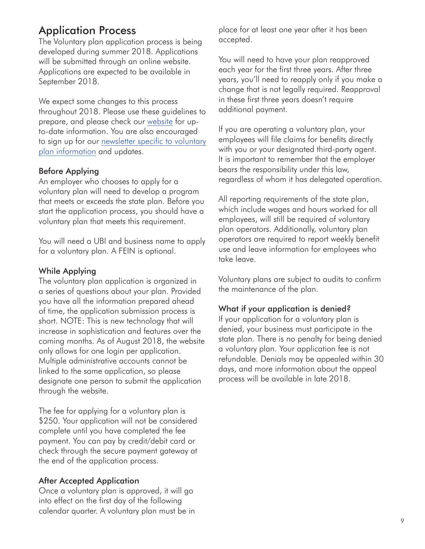# Application Process

The Voluntary plan application process is being developed during summer 2018. Applications will be submitted through an online website. Applications are expected to be available in September 2018.

We expect some changes to this process throughout 2018. Please use these guidelines to prepare, and please check our website for upto-date information. You are also encouraged to sign up for our newsletter specific to voluntary plan information and updates.

## Before Applying

An employer who chooses to apply for a voluntary plan will need to develop a program that meets or exceeds the state plan. Before you start the application process, you should have a voluntary plan that meets this requirement.

You will need a UBI and business name to apply for a voluntary plan. A FEIN is optional.

### While Applying

The voluntary plan application is organized in a series of questions about your plan. Provided you have all the information prepared ahead of time, the application submission process is short. NOTE: This is new technology that will increase in sophistication and features over the coming months. As of August 2018, the website only allows for one login per application. Multiple administrative accounts cannot be linked to the same application, so please designate one person to submit the application through the website.

The fee for applying for a voluntary plan is \$250. Your application will not be considered complete until you have completed the fee payment. You can pay by credit/debit card or check through the secure payment gateway at the end of the application process.

### After Accepted Application

Once a voluntary plan is approved, it will go into effect on the first day of the following calendar quarter. A voluntary plan must be in place for at least one year after it has been accepted.

You will need to have your plan reapproved each year for the first three years. After three years, you'll need to reapply only if you make a change that is not legally required. Reapproval in these first three years doesn't require additional payment.

If you are operating a voluntary plan, your employees will file claims for benefits directly with you or your designated third-party agent. It is important to remember that the employer bears the responsibility under this law, regardless of whom it has delegated operation.

All reporting requirements of the state plan, which include wages and hours worked for all employees, will still be required of voluntary plan operators. Additionally, voluntary plan operators are required to report weekly benefit use and leave information for employees who take leave.

Voluntary plans are subject to audits to confirm the maintenance of the plan.

#### What if your application is denied?

If your application for a voluntary plan is denied, your business must participate in the state plan. There is no penalty for being denied a voluntary plan. Your application fee is not refundable. Denials may be appealed within 30 days, and more information about the appeal process will be available in late 2018.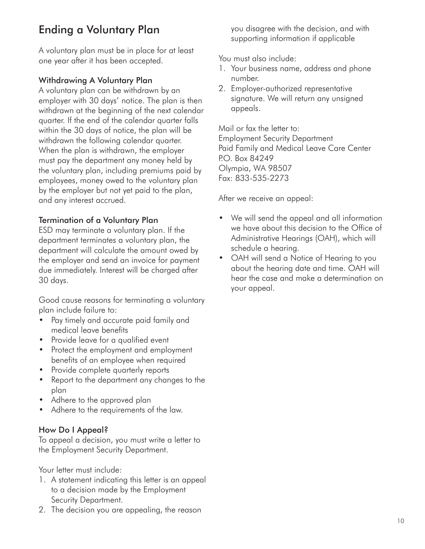# Ending a Voluntary Plan

A voluntary plan must be in place for at least one year after it has been accepted.

## Withdrawing A Voluntary Plan

A voluntary plan can be withdrawn by an employer with 30 days' notice. The plan is then withdrawn at the beginning of the next calendar quarter. If the end of the calendar quarter falls within the 30 days of notice, the plan will be withdrawn the following calendar quarter. When the plan is withdrawn, the employer must pay the department any money held by the voluntary plan, including premiums paid by employees, money owed to the voluntary plan by the employer but not yet paid to the plan, and any interest accrued.

## Termination of a Voluntary Plan

ESD may terminate a voluntary plan. If the department terminates a voluntary plan, the department will calculate the amount owed by the employer and send an invoice for payment due immediately. Interest will be charged after 30 days.

Good cause reasons for terminating a voluntary plan include failure to:

- Pay timely and accurate paid family and medical leave benefits
- Provide leave for a qualified event
- Protect the employment and employment benefits of an employee when required
- Provide complete quarterly reports
- Report to the department any changes to the plan
- Adhere to the approved plan
- Adhere to the requirements of the law.

### How Do I Appeal?

To appeal a decision, you must write a letter to the Employment Security Department.

Your letter must include:

- 1. A statement indicating this letter is an appeal to a decision made by the Employment Security Department.
- 2. The decision you are appealing, the reason

you disagree with the decision, and with supporting information if applicable

You must also include:

- 1. Your business name, address and phone number.
- 2. Employer-authorized representative signature. We will return any unsigned appeals.

Mail or fax the letter to: Employment Security Department Paid Family and Medical Leave Care Center P.O. Box 84249 Olympia, WA 98507 Fax: 833-535-2273

After we receive an appeal:

- We will send the appeal and all information we have about this decision to the Office of Administrative Hearings (OAH), which will schedule a hearing.
- OAH will send a Notice of Hearing to you about the hearing date and time. OAH will hear the case and make a determination on your appeal.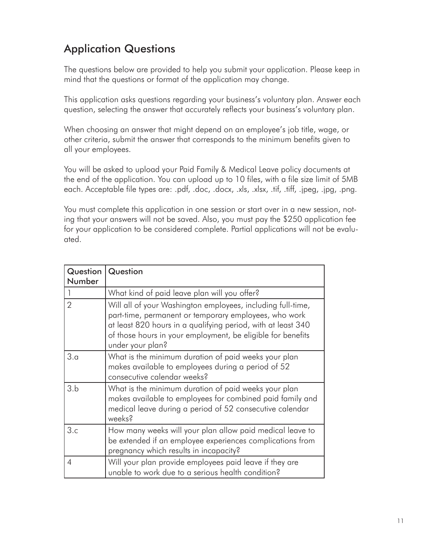# Application Questions

The questions below are provided to help you submit your application. Please keep in mind that the questions or format of the application may change.

This application asks questions regarding your business's voluntary plan. Answer each question, selecting the answer that accurately reflects your business's voluntary plan.

When choosing an answer that might depend on an employee's job title, wage, or other criteria, submit the answer that corresponds to the minimum benefits given to all your employees.

You will be asked to upload your Paid Family & Medical Leave policy documents at the end of the application. You can upload up to 10 files, with a file size limit of 5MB each. Acceptable file types are: .pdf, .doc, .docx, .xls, .xlsx, .tif, .tiff, .jpeg, .jpg, .png.

You must complete this application in one session or start over in a new session, noting that your answers will not be saved. Also, you must pay the \$250 application fee for your application to be considered complete. Partial applications will not be evaluated.

| Question<br>Number | Question                                                                                                                                                                                                                                                                |
|--------------------|-------------------------------------------------------------------------------------------------------------------------------------------------------------------------------------------------------------------------------------------------------------------------|
|                    | What kind of paid leave plan will you offer?                                                                                                                                                                                                                            |
| $\overline{2}$     | Will all of your Washington employees, including full-time,<br>part-time, permanent or temporary employees, who work<br>at least 820 hours in a qualifying period, with at least 340<br>of those hours in your employment, be eligible for benefits<br>under your plan? |
| 3.a                | What is the minimum duration of paid weeks your plan<br>makes available to employees during a period of 52<br>consecutive calendar weeks?                                                                                                                               |
| 3.b                | What is the minimum duration of paid weeks your plan<br>makes available to employees for combined paid family and<br>medical leave during a period of 52 consecutive calendar<br>weeks?                                                                                 |
| 3.c                | How many weeks will your plan allow paid medical leave to<br>be extended if an employee experiences complications from<br>pregnancy which results in incapacity?                                                                                                        |
| 4                  | Will your plan provide employees paid leave if they are<br>unable to work due to a serious health condition?                                                                                                                                                            |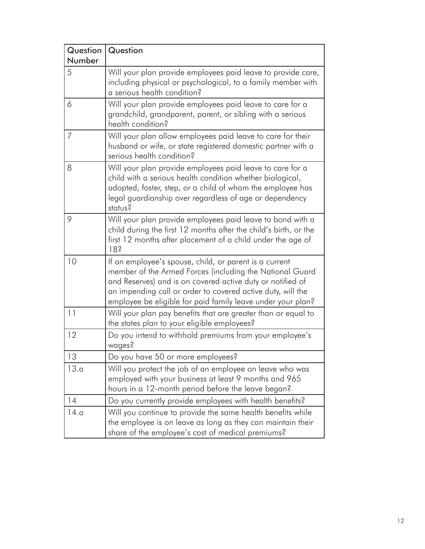| Question<br>Number | Question                                                                                                                                                                                                                                                                                                       |
|--------------------|----------------------------------------------------------------------------------------------------------------------------------------------------------------------------------------------------------------------------------------------------------------------------------------------------------------|
| 5                  | Will your plan provide employees paid leave to provide care,<br>including physical or psychological, to a family member with<br>a serious health condition?                                                                                                                                                    |
| 6                  | Will your plan provide employees paid leave to care for a<br>grandchild, grandparent, parent, or sibling with a serious<br>health condition?                                                                                                                                                                   |
| 7                  | Will your plan allow employees paid leave to care for their<br>husband or wife, or state registered domestic partner with a<br>serious health condition?                                                                                                                                                       |
| 8                  | Will your plan provide employees paid leave to care for a<br>child with a serious health condition whether biological,<br>adopted, foster, step, or a child of whom the employee has<br>legal guardianship over regardless of age or dependency<br>status?                                                     |
| 9                  | Will your plan provide employees paid leave to bond with a<br>child during the first 12 months after the child's birth, or the<br>first 12 months after placement of a child under the age of<br>18?                                                                                                           |
| 10                 | If an employee's spouse, child, or parent is a current<br>member of the Armed Forces (including the National Guard<br>and Reserves) and is on covered active duty or notified of<br>an impending call or order to covered active duty, will the<br>employee be eligible for paid family leave under your plan? |
| 11                 | Will your plan pay benefits that are greater than or equal to<br>the states plan to your eligible employees?                                                                                                                                                                                                   |
| 12                 | Do you intend to withhold premiums from your employee's<br>wages?                                                                                                                                                                                                                                              |
| 13                 | Do you have 50 or more employees?                                                                                                                                                                                                                                                                              |
| 13.a               | Will you protect the job of an employee on leave who was<br>employed with your business at least 9 months and 965<br>hours in a 12-month period before the leave began?                                                                                                                                        |
| 14                 | Do you currently provide employees with health benefits?                                                                                                                                                                                                                                                       |
| 14.a               | Will you continue to provide the same health benefits while<br>the employee is on leave as long as they can maintain their<br>share of the employee's cost of medical premiums?                                                                                                                                |